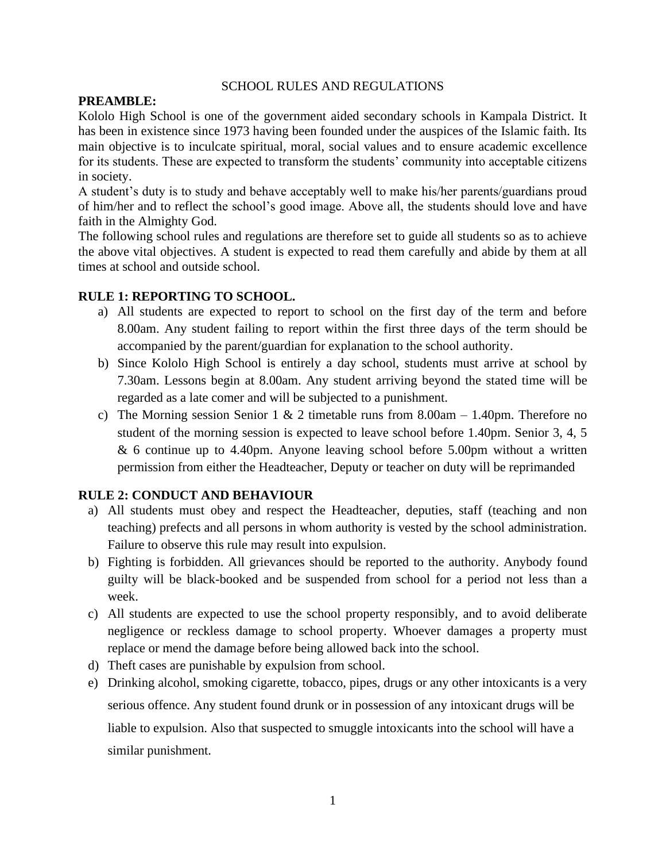#### SCHOOL RULES AND REGULATIONS

#### **PREAMBLE:**

Kololo High School is one of the government aided secondary schools in Kampala District. It has been in existence since 1973 having been founded under the auspices of the Islamic faith. Its main objective is to inculcate spiritual, moral, social values and to ensure academic excellence for its students. These are expected to transform the students' community into acceptable citizens in society.

A student's duty is to study and behave acceptably well to make his/her parents/guardians proud of him/her and to reflect the school's good image. Above all, the students should love and have faith in the Almighty God.

The following school rules and regulations are therefore set to guide all students so as to achieve the above vital objectives. A student is expected to read them carefully and abide by them at all times at school and outside school.

# **RULE 1: REPORTING TO SCHOOL.**

- a) All students are expected to report to school on the first day of the term and before 8.00am. Any student failing to report within the first three days of the term should be accompanied by the parent/guardian for explanation to the school authority.
- b) Since Kololo High School is entirely a day school, students must arrive at school by 7.30am. Lessons begin at 8.00am. Any student arriving beyond the stated time will be regarded as a late comer and will be subjected to a punishment.
- c) The Morning session Senior 1 & 2 timetable runs from 8.00am  $-$  1.40pm. Therefore no student of the morning session is expected to leave school before 1.40pm. Senior 3, 4, 5 & 6 continue up to 4.40pm. Anyone leaving school before 5.00pm without a written permission from either the Headteacher, Deputy or teacher on duty will be reprimanded

# **RULE 2: CONDUCT AND BEHAVIOUR**

- a) All students must obey and respect the Headteacher, deputies, staff (teaching and non teaching) prefects and all persons in whom authority is vested by the school administration. Failure to observe this rule may result into expulsion.
- b) Fighting is forbidden. All grievances should be reported to the authority. Anybody found guilty will be black-booked and be suspended from school for a period not less than a week.
- c) All students are expected to use the school property responsibly, and to avoid deliberate negligence or reckless damage to school property. Whoever damages a property must replace or mend the damage before being allowed back into the school.
- d) Theft cases are punishable by expulsion from school.
- e) Drinking alcohol, smoking cigarette, tobacco, pipes, drugs or any other intoxicants is a very serious offence. Any student found drunk or in possession of any intoxicant drugs will be liable to expulsion. Also that suspected to smuggle intoxicants into the school will have a similar punishment.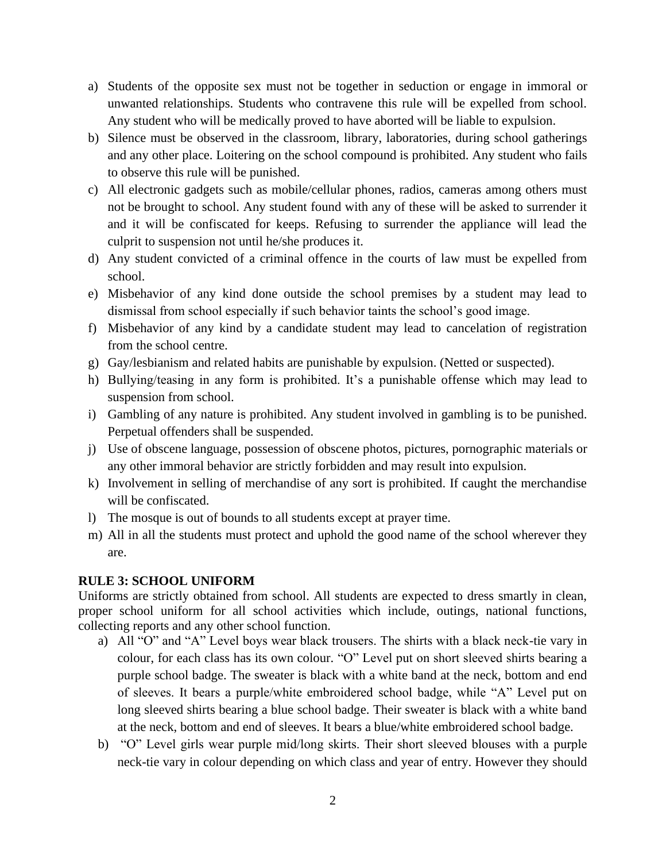- a) Students of the opposite sex must not be together in seduction or engage in immoral or unwanted relationships. Students who contravene this rule will be expelled from school. Any student who will be medically proved to have aborted will be liable to expulsion.
- b) Silence must be observed in the classroom, library, laboratories, during school gatherings and any other place. Loitering on the school compound is prohibited. Any student who fails to observe this rule will be punished.
- c) All electronic gadgets such as mobile/cellular phones, radios, cameras among others must not be brought to school. Any student found with any of these will be asked to surrender it and it will be confiscated for keeps. Refusing to surrender the appliance will lead the culprit to suspension not until he/she produces it.
- d) Any student convicted of a criminal offence in the courts of law must be expelled from school.
- e) Misbehavior of any kind done outside the school premises by a student may lead to dismissal from school especially if such behavior taints the school's good image.
- f) Misbehavior of any kind by a candidate student may lead to cancelation of registration from the school centre.
- g) Gay/lesbianism and related habits are punishable by expulsion. (Netted or suspected).
- h) Bullying/teasing in any form is prohibited. It's a punishable offense which may lead to suspension from school.
- i) Gambling of any nature is prohibited. Any student involved in gambling is to be punished. Perpetual offenders shall be suspended.
- j) Use of obscene language, possession of obscene photos, pictures, pornographic materials or any other immoral behavior are strictly forbidden and may result into expulsion.
- k) Involvement in selling of merchandise of any sort is prohibited. If caught the merchandise will be confiscated.
- l) The mosque is out of bounds to all students except at prayer time.
- m) All in all the students must protect and uphold the good name of the school wherever they are.

# **RULE 3: SCHOOL UNIFORM**

Uniforms are strictly obtained from school. All students are expected to dress smartly in clean, proper school uniform for all school activities which include, outings, national functions, collecting reports and any other school function.

- a) All "O" and "A" Level boys wear black trousers. The shirts with a black neck-tie vary in colour, for each class has its own colour. "O" Level put on short sleeved shirts bearing a purple school badge. The sweater is black with a white band at the neck, bottom and end of sleeves. It bears a purple/white embroidered school badge, while "A" Level put on long sleeved shirts bearing a blue school badge. Their sweater is black with a white band at the neck, bottom and end of sleeves. It bears a blue/white embroidered school badge.
- b) "O" Level girls wear purple mid/long skirts. Their short sleeved blouses with a purple neck-tie vary in colour depending on which class and year of entry. However they should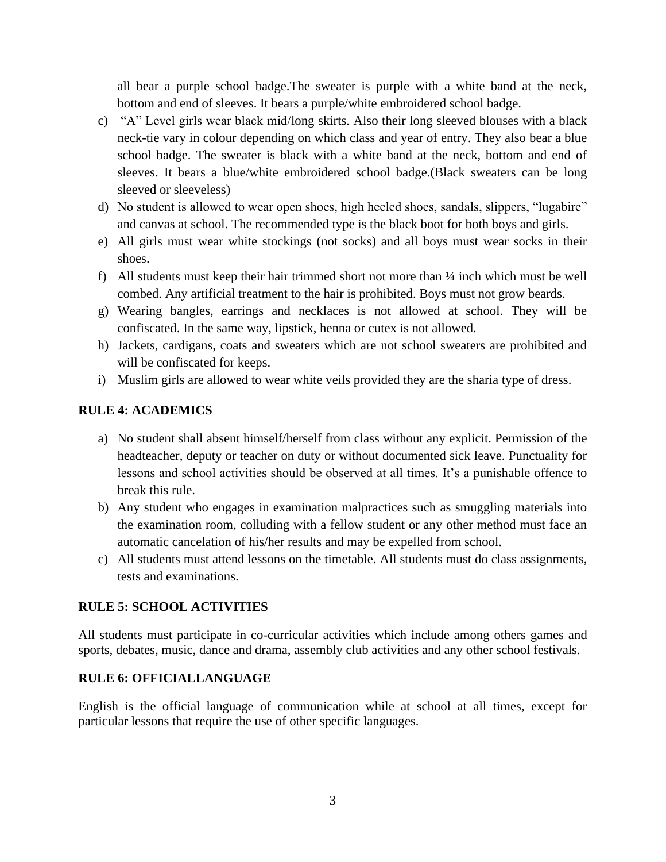all bear a purple school badge.The sweater is purple with a white band at the neck, bottom and end of sleeves. It bears a purple/white embroidered school badge.

- c) "A" Level girls wear black mid/long skirts. Also their long sleeved blouses with a black neck-tie vary in colour depending on which class and year of entry. They also bear a blue school badge. The sweater is black with a white band at the neck, bottom and end of sleeves. It bears a blue/white embroidered school badge.(Black sweaters can be long sleeved or sleeveless)
- d) No student is allowed to wear open shoes, high heeled shoes, sandals, slippers, "lugabire" and canvas at school. The recommended type is the black boot for both boys and girls.
- e) All girls must wear white stockings (not socks) and all boys must wear socks in their shoes.
- f) All students must keep their hair trimmed short not more than ¼ inch which must be well combed. Any artificial treatment to the hair is prohibited. Boys must not grow beards.
- g) Wearing bangles, earrings and necklaces is not allowed at school. They will be confiscated. In the same way, lipstick, henna or cutex is not allowed.
- h) Jackets, cardigans, coats and sweaters which are not school sweaters are prohibited and will be confiscated for keeps.
- i) Muslim girls are allowed to wear white veils provided they are the sharia type of dress.

# **RULE 4: ACADEMICS**

- a) No student shall absent himself/herself from class without any explicit. Permission of the headteacher, deputy or teacher on duty or without documented sick leave. Punctuality for lessons and school activities should be observed at all times. It's a punishable offence to break this rule.
- b) Any student who engages in examination malpractices such as smuggling materials into the examination room, colluding with a fellow student or any other method must face an automatic cancelation of his/her results and may be expelled from school.
- c) All students must attend lessons on the timetable. All students must do class assignments, tests and examinations.

# **RULE 5: SCHOOL ACTIVITIES**

All students must participate in co-curricular activities which include among others games and sports, debates, music, dance and drama, assembly club activities and any other school festivals.

# **RULE 6: OFFICIALLANGUAGE**

English is the official language of communication while at school at all times, except for particular lessons that require the use of other specific languages.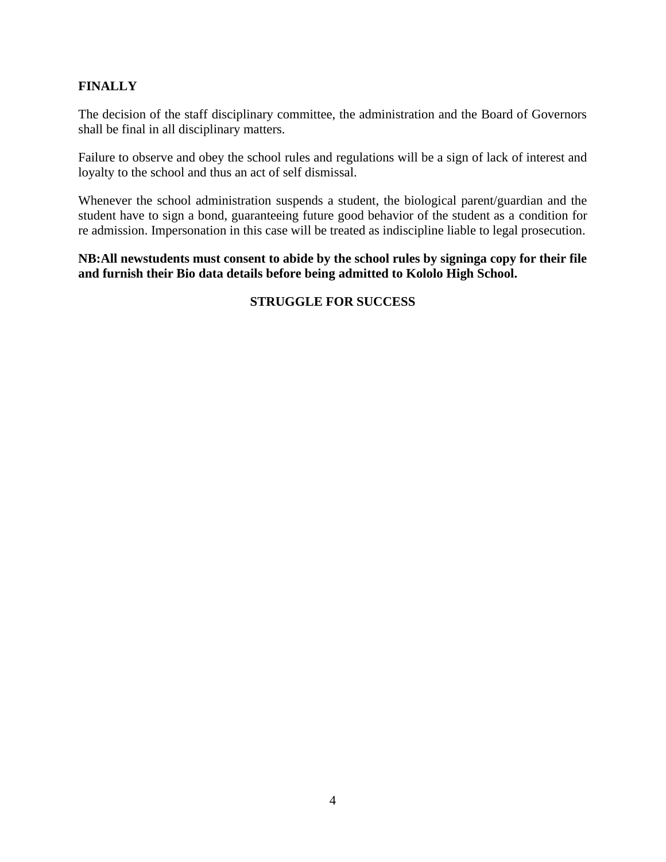# **FINALLY**

The decision of the staff disciplinary committee, the administration and the Board of Governors shall be final in all disciplinary matters.

Failure to observe and obey the school rules and regulations will be a sign of lack of interest and loyalty to the school and thus an act of self dismissal.

Whenever the school administration suspends a student, the biological parent/guardian and the student have to sign a bond, guaranteeing future good behavior of the student as a condition for re admission. Impersonation in this case will be treated as indiscipline liable to legal prosecution.

# **NB:All newstudents must consent to abide by the school rules by signinga copy for their file and furnish their Bio data details before being admitted to Kololo High School.**

# **STRUGGLE FOR SUCCESS**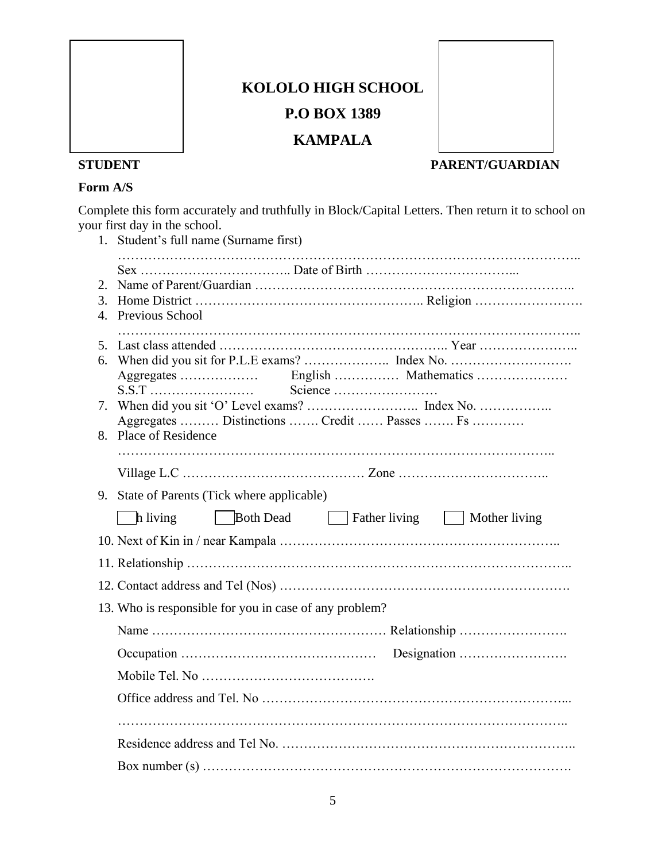

# **KOLOLO HIGH SCHOOL P.O BOX 1389**

# **KAMPALA**



# **STUDENT PARENT/GUARDIAN**

# **Form A/S**

Complete this form accurately and truthfully in Block/Capital Letters. Then return it to school on your first day in the school.

|                                                                                                    | 1. Student's full name (Surname first)                                                                                  |  |  |  |
|----------------------------------------------------------------------------------------------------|-------------------------------------------------------------------------------------------------------------------------|--|--|--|
| 2.<br>3.<br>4.                                                                                     | Previous School                                                                                                         |  |  |  |
| 5.<br>6.                                                                                           | $S.S.T \dots $ Science $\dots$ Science $\dots$<br>Aggregates  Distinctions  Credit  Passes  Fs<br>8. Place of Residence |  |  |  |
|                                                                                                    |                                                                                                                         |  |  |  |
| 9. State of Parents (Tick where applicable)<br>Both Dead Father living   Mother living<br>h living |                                                                                                                         |  |  |  |
|                                                                                                    |                                                                                                                         |  |  |  |
| 13. Who is responsible for you in case of any problem?                                             |                                                                                                                         |  |  |  |
|                                                                                                    |                                                                                                                         |  |  |  |
|                                                                                                    |                                                                                                                         |  |  |  |
|                                                                                                    |                                                                                                                         |  |  |  |
|                                                                                                    |                                                                                                                         |  |  |  |
|                                                                                                    |                                                                                                                         |  |  |  |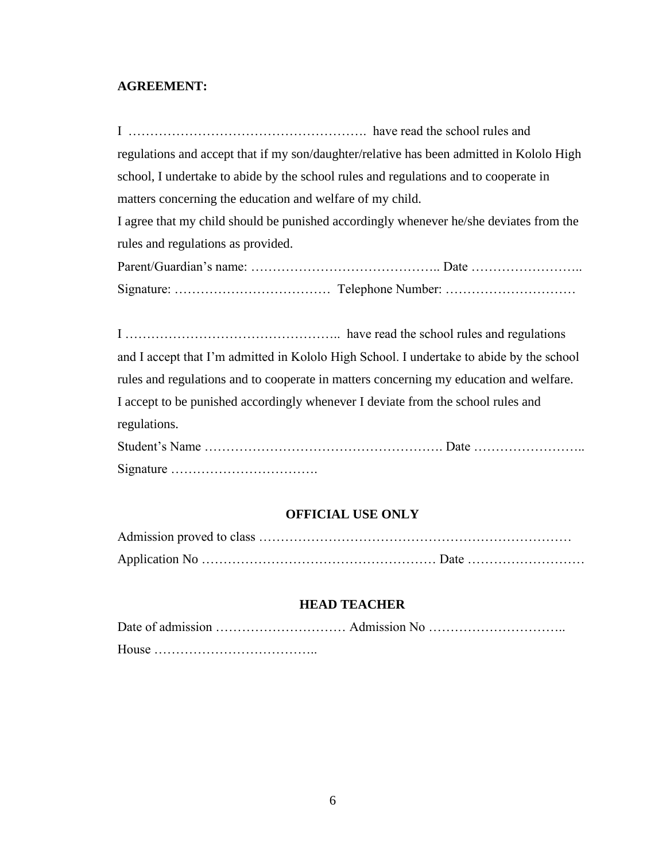# **AGREEMENT:**

I ………………………………………………. have read the school rules and regulations and accept that if my son/daughter/relative has been admitted in Kololo High school, I undertake to abide by the school rules and regulations and to cooperate in matters concerning the education and welfare of my child.

I agree that my child should be punished accordingly whenever he/she deviates from the rules and regulations as provided.

I ………………………………………….. have read the school rules and regulations and I accept that I'm admitted in Kololo High School. I undertake to abide by the school rules and regulations and to cooperate in matters concerning my education and welfare. I accept to be punished accordingly whenever I deviate from the school rules and regulations.

| Signature $\dots \dots \dots \dots \dots \dots \dots \dots \dots$ |  |
|-------------------------------------------------------------------|--|

#### **OFFICIAL USE ONLY**

#### **HEAD TEACHER**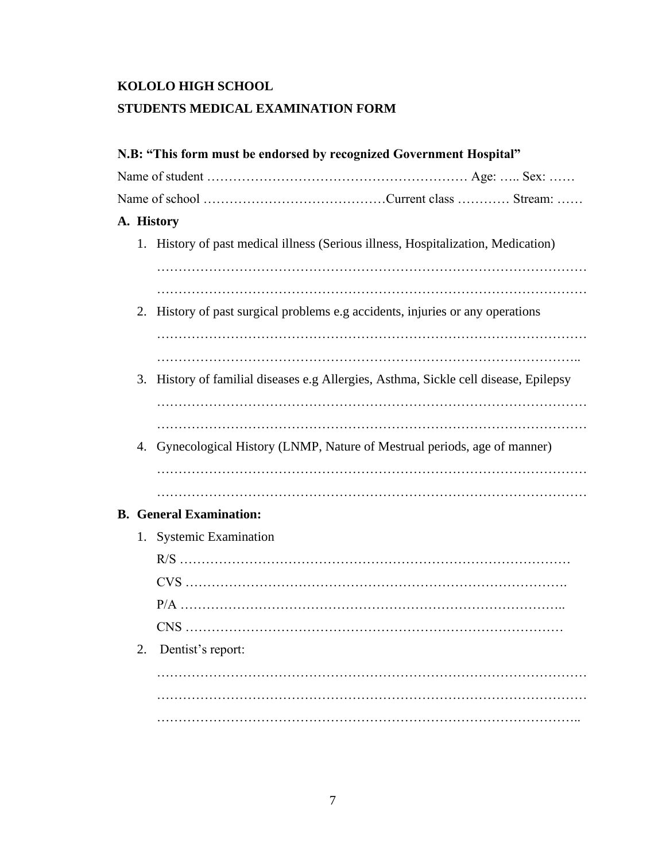# **KOLOLO HIGH SCHOOL STUDENTS MEDICAL EXAMINATION FORM**

|  |            | N.B: "This form must be endorsed by recognized Government Hospital"                  |  |  |  |
|--|------------|--------------------------------------------------------------------------------------|--|--|--|
|  |            |                                                                                      |  |  |  |
|  |            |                                                                                      |  |  |  |
|  | A. History |                                                                                      |  |  |  |
|  |            | 1. History of past medical illness (Serious illness, Hospitalization, Medication)    |  |  |  |
|  |            |                                                                                      |  |  |  |
|  |            |                                                                                      |  |  |  |
|  |            | 2. History of past surgical problems e.g accidents, injuries or any operations       |  |  |  |
|  |            |                                                                                      |  |  |  |
|  |            | 3. History of familial diseases e.g Allergies, Asthma, Sickle cell disease, Epilepsy |  |  |  |
|  |            |                                                                                      |  |  |  |
|  |            |                                                                                      |  |  |  |
|  |            | 4. Gynecological History (LNMP, Nature of Mestrual periods, age of manner)           |  |  |  |
|  |            |                                                                                      |  |  |  |
|  |            |                                                                                      |  |  |  |
|  |            | <b>B.</b> General Examination:                                                       |  |  |  |
|  |            | 1. Systemic Examination                                                              |  |  |  |
|  |            |                                                                                      |  |  |  |
|  |            |                                                                                      |  |  |  |
|  |            |                                                                                      |  |  |  |
|  |            |                                                                                      |  |  |  |
|  | 2.         | Dentist's report:                                                                    |  |  |  |
|  |            |                                                                                      |  |  |  |
|  |            |                                                                                      |  |  |  |
|  |            |                                                                                      |  |  |  |